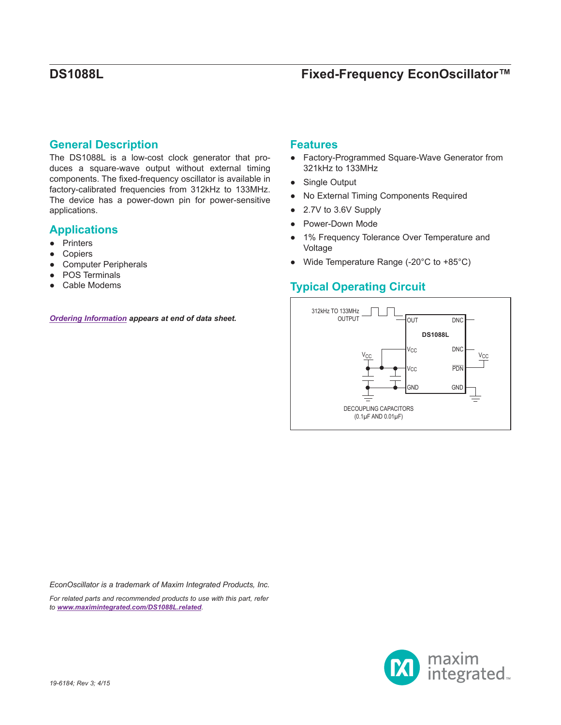## **General Description**

The DS1088L is a low-cost clock generator that produces a square-wave output without external timing components. The fixed-frequency oscillator is available in factory-calibrated frequencies from 312kHz to 133MHz. The device has a power-down pin for power-sensitive applications.

## **Applications**

- Printers
- **Copiers**
- **Computer Peripherals**
- POS Terminals
- Cable Modems

*[Ordering Information](#page-6-0) appears at end of data sheet.*

## **Features**

- Factory-Programmed Square-Wave Generator from 321kHz to 133MHz
- Single Output
- No External Timing Components Required
- 2.7V to 3.6V Supply
- Power-Down Mode
- 1% Frequency Tolerance Over Temperature and Voltage
- Wide Temperature Range (-20°C to +85°C)

## **Typical Operating Circuit**



*EconOscillator is a trademark of Maxim Integrated Products, Inc.*

*For related parts and recommended products to use with this part, refer to [www.maximintegrated.com/DS1088L.related](http://www.maximintegrated.com/DS1088L.related).*

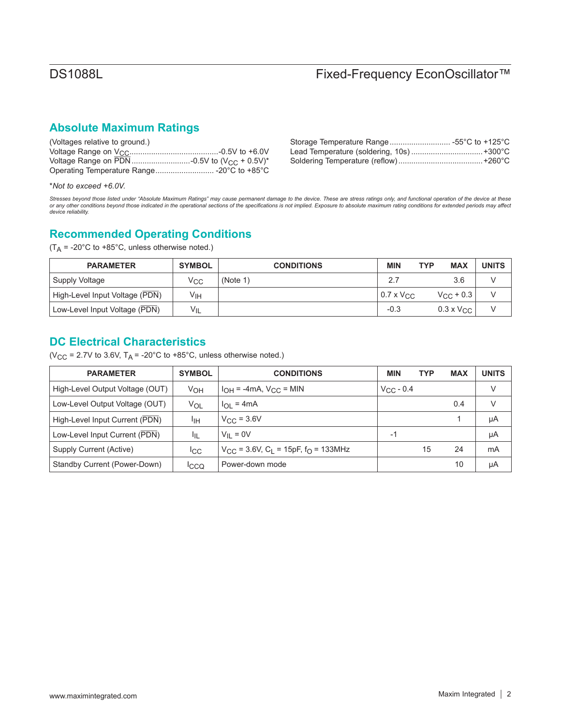## **Absolute Maximum Ratings**

| (Voltages relative to ground.)             |  |
|--------------------------------------------|--|
|                                            |  |
|                                            |  |
| Operating Temperature Range -20°C to +85°C |  |

| Storage Temperature Range -55°C to +125°C |
|-------------------------------------------|
| Lead Temperature (soldering, 10s) +300°C  |
|                                           |

\**Not to exceed +6.0V.*

Stresses beyond those listed under "Absolute Maximum Ratings" may cause permanent damage to the device. These are stress ratings only, and functional operation of the device at these<br>or any other conditions beyond those in *device reliability.*

## **Recommended Operating Conditions**

 $(T_A = -20^{\circ}$ C to +85°C, unless otherwise noted.)

| <b>PARAMETER</b>               | <b>SYMBOL</b> | <b>CONDITIONS</b> | <b>MIN</b>          | <b>MAX</b><br>TYP   | <b>UNITS</b> |
|--------------------------------|---------------|-------------------|---------------------|---------------------|--------------|
| Supply Voltage                 | ∨сс           | (Note 1)          | 2.7                 | 3.6                 |              |
| High-Level Input Voltage (PDN) | ۷ιн           |                   | $0.7 \times V_{CC}$ | $V_{\rm CC}$ + 0.3  |              |
| Low-Level Input Voltage (PDN)  | $V_{IL}$      |                   | $-0.3$              | $0.3 \times V_{CC}$ |              |

## **DC Electrical Characteristics**

( $V_{CC}$  = 2.7V to 3.6V,  $T_A$  = -20°C to +85°C, unless otherwise noted.)

| <b>PARAMETER</b>                | <b>SYMBOL</b>   | <b>CONDITIONS</b>                                                      | <b>MIN</b>     | <b>TYP</b> | <b>MAX</b> | <b>UNITS</b> |
|---------------------------------|-----------------|------------------------------------------------------------------------|----------------|------------|------------|--------------|
| High-Level Output Voltage (OUT) | V <sub>OH</sub> | $I_{OH}$ = -4mA, $V_{CC}$ = MIN                                        | $V_{CC}$ - 0.4 |            |            | V            |
| Low-Level Output Voltage (OUT)  | VOL             | $l_{OL}$ = 4mA                                                         |                |            | 0.4        | $\vee$       |
| High-Level Input Current (PDN)  | Ιт              | $V_{C}C = 3.6V$                                                        |                |            |            | μA           |
| Low-Level Input Current (PDN)   | ŀμ              | $V_{II} = 0V$                                                          | $-1$           |            |            | μA           |
| Supply Current (Active)         | lcc.            | $V_{\text{CC}}$ = 3.6V, C <sub>L</sub> = 15pF, f <sub>O</sub> = 133MHz |                | 15         | 24         | mA           |
| Standby Current (Power-Down)    | <b>ICCQ</b>     | Power-down mode                                                        |                |            | 10         | μA           |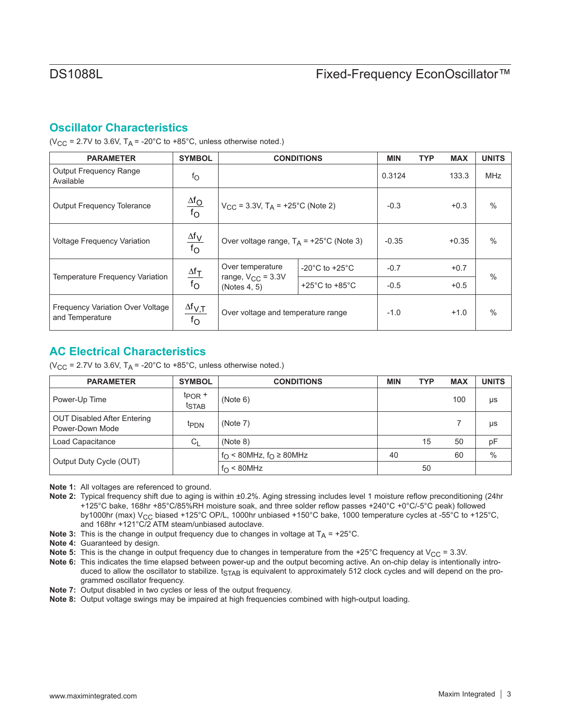## **Oscillator Characteristics**

( $V_{\text{CC}}$  = 2.7V to 3.6V,  $T_A$  = -20°C to +85°C, unless otherwise noted.)

| <b>PARAMETER</b>                                    | <b>SYMBOL</b>                        |                                                         | <b>CONDITIONS</b>                    | <b>MIN</b> | <b>TYP</b> | <b>MAX</b> | <b>UNITS</b>  |
|-----------------------------------------------------|--------------------------------------|---------------------------------------------------------|--------------------------------------|------------|------------|------------|---------------|
| <b>Output Frequency Range</b><br>Available          | $f_{\rm O}$                          |                                                         |                                      | 0.3124     |            | 133.3      | <b>MHz</b>    |
| <b>Output Frequency Tolerance</b>                   | $\frac{\Delta f_{\rm O}}{f_{\rm O}}$ | $V_{\text{CC}}$ = 3.3V, T <sub>A</sub> = +25°C (Note 2) |                                      | $-0.3$     |            | $+0.3$     | $\frac{0}{0}$ |
| <b>Voltage Frequency Variation</b>                  | $\frac{\Delta f_V}{f_O}$             | Over voltage range, $T_A$ = +25°C (Note 3)              |                                      | $-0.35$    |            | $+0.35$    | $\frac{0}{0}$ |
|                                                     |                                      | Over temperature                                        | $-20^{\circ}$ C to $+25^{\circ}$ C   | $-0.7$     |            | $+0.7$     |               |
| Temperature Frequency Variation                     | $\frac{\Delta f_T}{f_O}$             | range, $V_{CC} = 3.3V$<br>(Notes 4, 5)                  | +25 $^{\circ}$ C to +85 $^{\circ}$ C | $-0.5$     |            | $+0.5$     | $\frac{0}{0}$ |
| Frequency Variation Over Voltage<br>and Temperature | $\frac{\Delta f_{V,T}}{f_O}$         | Over voltage and temperature range                      |                                      | $-1.0$     |            | $+1.0$     | $\frac{0}{0}$ |

## **AC Electrical Characteristics**

( $V_{CC}$  = 2.7V to 3.6V, T<sub>A</sub> = -20°C to +85°C, unless otherwise noted.)

| <b>PARAMETER</b>                                      | <b>SYMBOL</b>                             | <b>CONDITIONS</b>                            | <b>MIN</b> | TYP | <b>MAX</b> | <b>UNITS</b> |
|-------------------------------------------------------|-------------------------------------------|----------------------------------------------|------------|-----|------------|--------------|
| Power-Up Time                                         | $tp$ <sub>OR</sub> +<br>t <sub>STAB</sub> | (Note 6)                                     |            |     | 100        | μs           |
| <b>OUT Disabled After Entering</b><br>Power-Down Mode | <sup>t</sup> PDN                          | (Note 7)                                     |            |     |            | μs           |
| Load Capacitance                                      | $C_L$                                     | (Note 8)                                     |            | 15  | 50         | pF           |
|                                                       |                                           | $f_{\bigcap}$ < 80MHz, $f_{\bigcap}$ ≥ 80MHz | 40         |     | 60         | $\%$         |
| Output Duty Cycle (OUT)                               |                                           | $f_{\rm O}$ < 80MHz                          |            | 50  |            |              |

**Note 1:** All voltages are referenced to ground.

- **Note 2:** Typical frequency shift due to aging is within ±0.2%. Aging stressing includes level 1 moisture reflow preconditioning (24hr +125°C bake, 168hr +85°C/85%RH moisture soak, and three solder reflow passes +240°C +0°C/-5°C peak) followed by1000hr (max) V<sub>CC</sub> biased +125°C OP/L, 1000hr unbiased +150°C bake, 1000 temperature cycles at -55°C to +125°C, and 168hr +121°C/2 ATM steam/unbiased autoclave.
- **Note 3:** This is the change in output frequency due to changes in voltage at  $T_A$  = +25°C.

**Note 4:** Guaranteed by design.

- **Note 5:** This is the change in output frequency due to changes in temperature from the +25°C frequency at V<sub>CC</sub> = 3.3V.
- **Note 6:** This indicates the time elapsed between power-up and the output becoming active. An on-chip delay is intentionally introduced to allow the oscillator to stabilize.  $t_{\text{STAB}}$  is equivalent to approximately 512 clock cycles and will depend on the programmed oscillator frequency.
- **Note 7:** Output disabled in two cycles or less of the output frequency.
- **Note 8:** Output voltage swings may be impaired at high frequencies combined with high-output loading.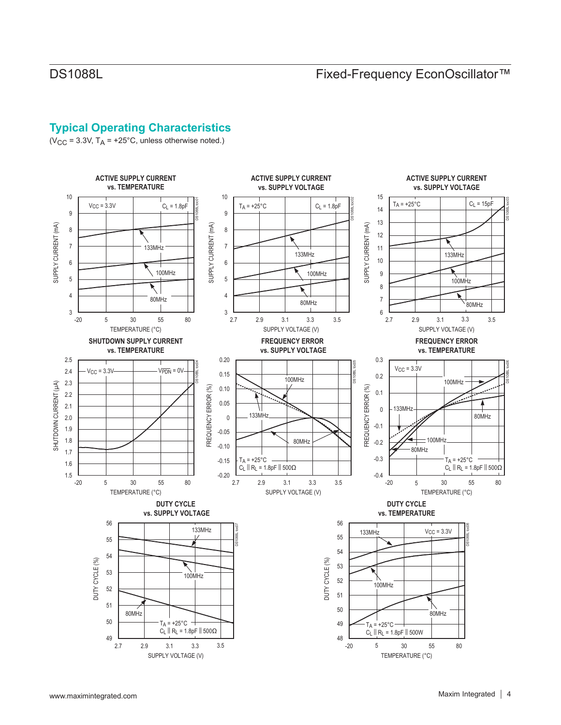## **Typical Operating Characteristics**

( $V_{CC}$  = 3.3V,  $T_A$  = +25°C, unless otherwise noted.)

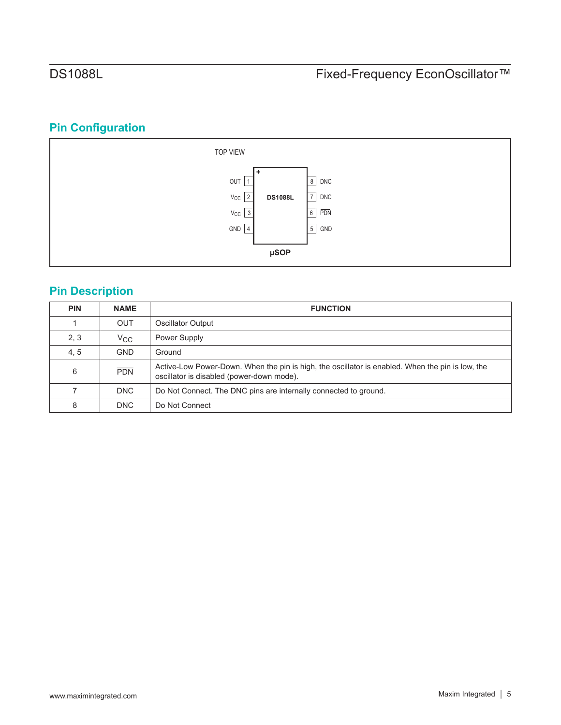# **Pin Configuration**



## **Pin Description**

| <b>PIN</b> | <b>NAME</b>  | <b>FUNCTION</b>                                                                                                                               |
|------------|--------------|-----------------------------------------------------------------------------------------------------------------------------------------------|
|            | <b>OUT</b>   | Oscillator Output                                                                                                                             |
| 2, 3       | $V_{\rm CC}$ | Power Supply                                                                                                                                  |
| 4, 5       | <b>GND</b>   | Ground                                                                                                                                        |
| 6          | <b>PDN</b>   | Active-Low Power-Down. When the pin is high, the oscillator is enabled. When the pin is low, the<br>oscillator is disabled (power-down mode). |
|            | DNC          | Do Not Connect. The DNC pins are internally connected to ground.                                                                              |
| 8          | <b>DNC</b>   | Do Not Connect                                                                                                                                |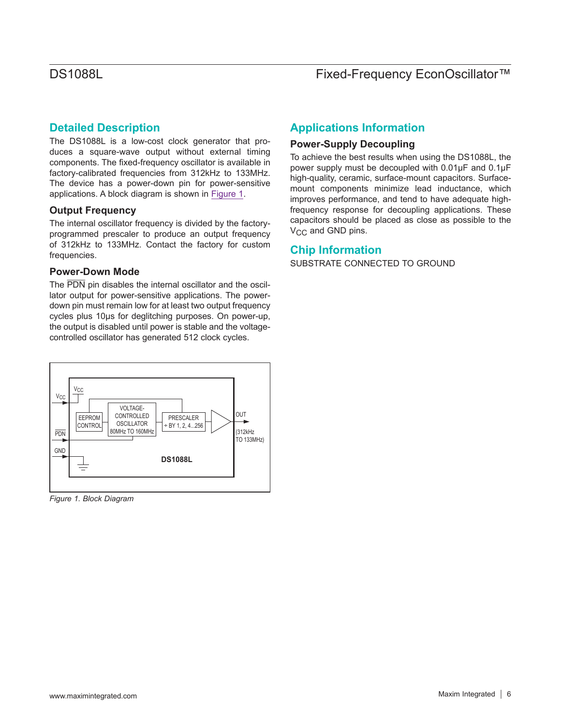## **Detailed Description**

The DS1088L is a low-cost clock generator that produces a square-wave output without external timing components. The fixed-frequency oscillator is available in factory-calibrated frequencies from 312kHz to 133MHz. The device has a power-down pin for power-sensitive applications. A block diagram is shown in [Figure 1.](#page-5-0)

## **Output Frequency**

The internal oscillator frequency is divided by the factoryprogrammed prescaler to produce an output frequency of 312kHz to 133MHz. Contact the factory for custom frequencies.

## **Power-Down Mode**

The PDN pin disables the internal oscillator and the oscillator output for power-sensitive applications. The powerdown pin must remain low for at least two output frequency cycles plus 10μs for deglitching purposes. On power-up, the output is disabled until power is stable and the voltagecontrolled oscillator has generated 512 clock cycles.

<span id="page-5-0"></span>

*Figure 1. Block Diagram*

## **Applications Information**

## **Power-Supply Decoupling**

To achieve the best results when using the DS1088L, the power supply must be decoupled with 0.01μF and 0.1μF high-quality, ceramic, surface-mount capacitors. Surfacemount components minimize lead inductance, which improves performance, and tend to have adequate highfrequency response for decoupling applications. These capacitors should be placed as close as possible to the V<sub>CC</sub> and GND pins.

## **Chip Information**

SUBSTRATE CONNECTED TO GROUND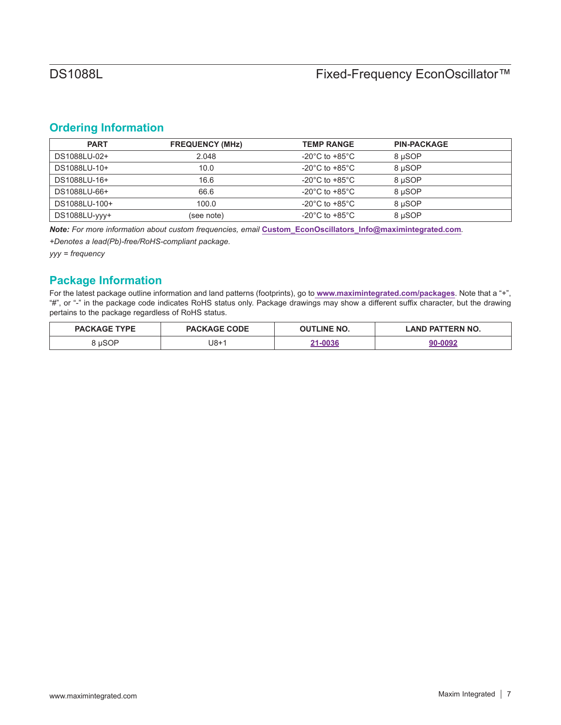## <span id="page-6-0"></span>**Ordering Information**

| <b>PART</b>   | <b>FREQUENCY (MHz)</b> | <b>TEMP RANGE</b>                    | <b>PIN-PACKAGE</b> |  |
|---------------|------------------------|--------------------------------------|--------------------|--|
| DS1088LU-02+  | 2.048                  | -20 $^{\circ}$ C to +85 $^{\circ}$ C | 8 µSOP             |  |
| DS1088LU-10+  | 10.0                   | -20 $^{\circ}$ C to +85 $^{\circ}$ C | 8 uSOP             |  |
| DS1088LU-16+  | 16.6                   | -20 $^{\circ}$ C to +85 $^{\circ}$ C | 8 uSOP             |  |
| DS1088LU-66+  | 66.6                   | -20 $^{\circ}$ C to +85 $^{\circ}$ C | 8 uSOP             |  |
| DS1088LU-100+ | 100.0                  | -20 $^{\circ}$ C to +85 $^{\circ}$ C | 8 uSOP             |  |
| DS1088LU-vvv+ | (see note)             | -20 $^{\circ}$ C to +85 $^{\circ}$ C | 8 µSOP             |  |

*Note: For more information about custom frequencies, email* **[Custom\\_EconOscillators\\_Info@maximintegrated.com](mailto:Custom_EconOscillators_Info%40maximintegrated.com?subject=)***.*

*+Denotes a lead(Pb)-free/RoHS-compliant package.*

*yyy = frequency*

## **Package Information**

For the latest package outline information and land patterns (footprints), go to **[www.maximintegrated.com/packages](http://www.maximintegrated.com/packages)**. Note that a "+", "#", or "-" in the package code indicates RoHS status only. Package drawings may show a different suffix character, but the drawing pertains to the package regardless of RoHS status.

| <b>PACKAGE TYPE</b> | <b>PACKAGE CODE</b> | <b>NUTLINE NO.</b> | <b>LAND PATTERN NO.</b> |
|---------------------|---------------------|--------------------|-------------------------|
| uSOP                | $U8+1$              | 21_NN3 <i>G</i>    | nnos<br>היה             |